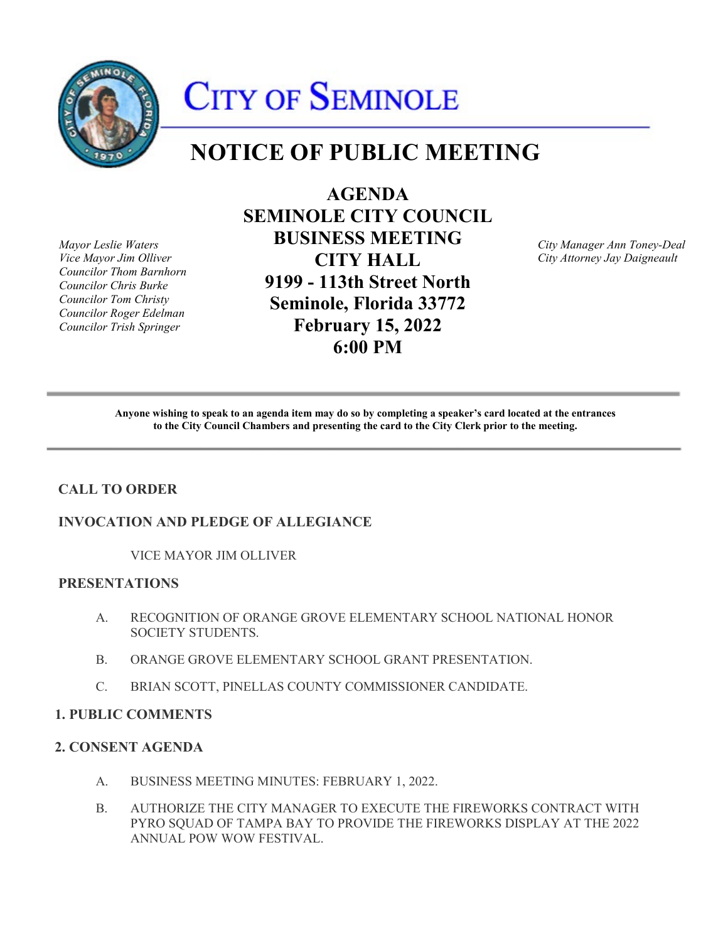

# CITY OF SEMINOLE

# **NOTICE OF PUBLIC MEETING**

*Councilor Thom Barnhorn* 

**AGENDA SEMINOLE CITY COUNCIL**  *Mayor Leslie Waters* **BUSINESS MEETING** *City Manager Ann Toney-Deal Councilor Chris Burke* **9199 - 113th Street North**  *Councilor Tom Christy* **Seminole, Florida 33772** *Councilor Roger Edelman Councilor Trish Springer* **February 15, 2022 6:00 PM** 

*Vice Mayor Jim Olliver* **CITY HALL** *City Attorney Jay Daigneault* 

 **Anyone wishing to speak to an agenda item may do so by completing a speaker's card located at the entrances to the City Council Chambers and presenting the card to the City Clerk prior to the meeting.** 

# **CALL TO ORDER**

#### **INVOCATION AND PLEDGE OF ALLEGIANCE**

VICE MAYOR JIM OLLIVER

## **PRESENTATIONS**

- A. RECOGNITION OF ORANGE GROVE ELEMENTARY SCHOOL NATIONAL HONOR SOCIETY STUDENTS.
- B. ORANGE GROVE ELEMENTARY SCHOOL GRANT PRESENTATION.
- C. BRIAN SCOTT, PINELLAS COUNTY COMMISSIONER CANDIDATE.

#### **1. PUBLIC COMMENTS**

#### **2. CONSENT AGENDA**

- A. BUSINESS MEETING MINUTES: FEBRUARY 1, 2022.
- PYRO SQUAD OF TAMPA BAY TO PROVIDE THE FIREWORKS DISPLAY AT THE 2022 B. AUTHORIZE THE CITY MANAGER TO EXECUTE THE FIREWORKS CONTRACT WITH ANNUAL POW WOW FESTIVAL.